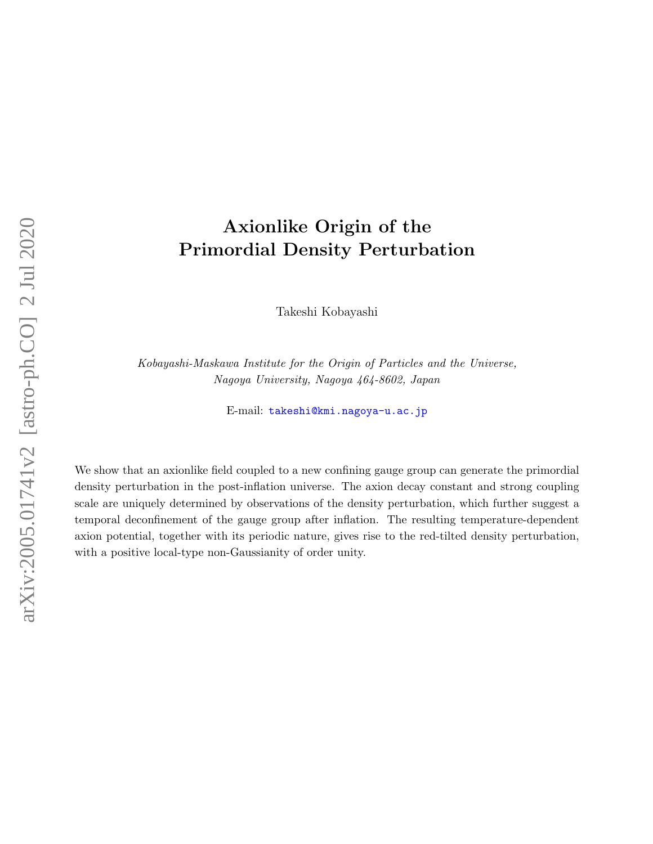# Axionlike Origin of the Primordial Density Perturbation

Takeshi Kobayashi

Kobayashi-Maskawa Institute for the Origin of Particles and the Universe, Nagoya University, Nagoya 464-8602, Japan

E-mail: [takeshi@kmi.nagoya-u.ac.jp](mailto:takeshi@kmi.nagoya-u.ac.jp)

We show that an axionlike field coupled to a new confining gauge group can generate the primordial density perturbation in the post-inflation universe. The axion decay constant and strong coupling scale are uniquely determined by observations of the density perturbation, which further suggest a temporal deconfinement of the gauge group after inflation. The resulting temperature-dependent axion potential, together with its periodic nature, gives rise to the red-tilted density perturbation, with a positive local-type non-Gaussianity of order unity.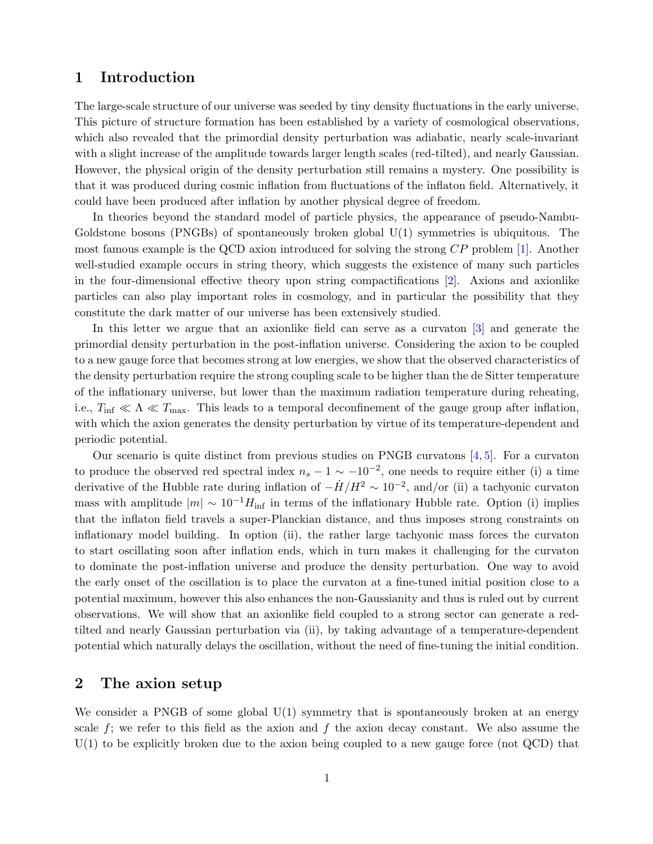# 1 Introduction

The large-scale structure of our universe was seeded by tiny density fluctuations in the early universe. This picture of structure formation has been established by a variety of cosmological observations, which also revealed that the primordial density perturbation was adiabatic, nearly scale-invariant with a slight increase of the amplitude towards larger length scales (red-tilted), and nearly Gaussian. However, the physical origin of the density perturbation still remains a mystery. One possibility is that it was produced during cosmic inflation from fluctuations of the inflaton field. Alternatively, it could have been produced after inflation by another physical degree of freedom.

In theories beyond the standard model of particle physics, the appearance of pseudo-Nambu-Goldstone bosons (PNGBs) of spontaneously broken global U(1) symmetries is ubiquitous. The most famous example is the QCD axion introduced for solving the strong CP problem [\[1\]](#page-6-0). Another well-studied example occurs in string theory, which suggests the existence of many such particles in the four-dimensional effective theory upon string compactifications [\[2\]](#page-7-0). Axions and axionlike particles can also play important roles in cosmology, and in particular the possibility that they constitute the dark matter of our universe has been extensively studied.

In this letter we argue that an axionlike field can serve as a curvaton [\[3\]](#page-7-1) and generate the primordial density perturbation in the post-inflation universe. Considering the axion to be coupled to a new gauge force that becomes strong at low energies, we show that the observed characteristics of the density perturbation require the strong coupling scale to be higher than the de Sitter temperature of the inflationary universe, but lower than the maximum radiation temperature during reheating, i.e.,  $T_{\text{inf}} \ll \Lambda \ll T_{\text{max}}$ . This leads to a temporal deconfinement of the gauge group after inflation, with which the axion generates the density perturbation by virtue of its temperature-dependent and periodic potential.

Our scenario is quite distinct from previous studies on PNGB curvatons [\[4,](#page-7-2) [5\]](#page-7-3). For a curvaton to produce the observed red spectral index  $n_s - 1 \sim -10^{-2}$ , one needs to require either (i) a time derivative of the Hubble rate during inflation of  $-\dot{H}/H^2 \sim 10^{-2}$ , and/or (ii) a tachyonic curvaton mass with amplitude  $|m| \sim 10^{-1}H_{\text{inf}}$  in terms of the inflationary Hubble rate. Option (i) implies that the inflaton field travels a super-Planckian distance, and thus imposes strong constraints on inflationary model building. In option (ii), the rather large tachyonic mass forces the curvaton to start oscillating soon after inflation ends, which in turn makes it challenging for the curvaton to dominate the post-inflation universe and produce the density perturbation. One way to avoid the early onset of the oscillation is to place the curvaton at a fine-tuned initial position close to a potential maximum, however this also enhances the non-Gaussianity and thus is ruled out by current observations. We will show that an axionlike field coupled to a strong sector can generate a redtilted and nearly Gaussian perturbation via (ii), by taking advantage of a temperature-dependent potential which naturally delays the oscillation, without the need of fine-tuning the initial condition.

## 2 The axion setup

We consider a PNGB of some global  $U(1)$  symmetry that is spontaneously broken at an energy scale f; we refer to this field as the axion and f the axion decay constant. We also assume the  $U(1)$  to be explicitly broken due to the axion being coupled to a new gauge force (not  $QCD$ ) that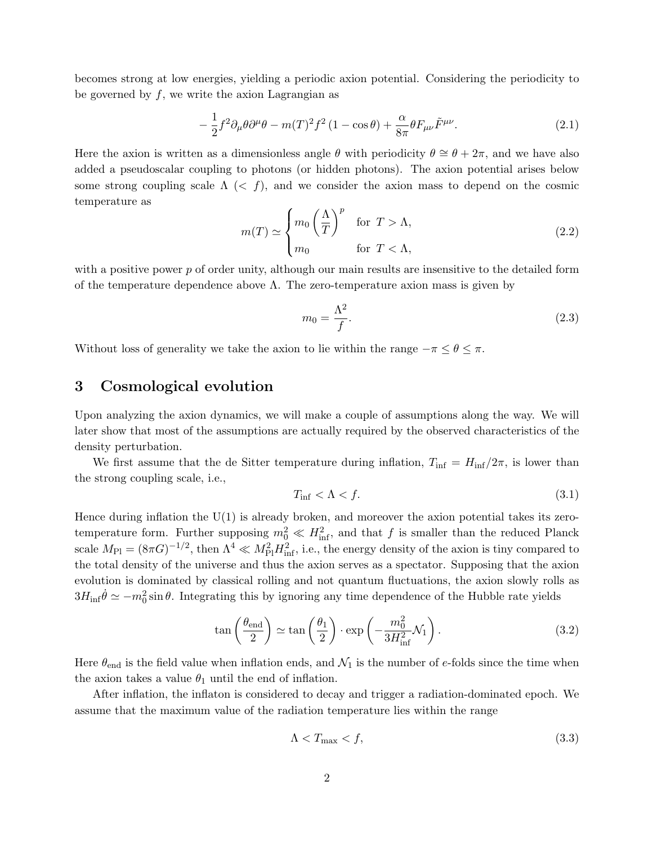becomes strong at low energies, yielding a periodic axion potential. Considering the periodicity to be governed by  $f$ , we write the axion Lagrangian as

<span id="page-2-0"></span>
$$
-\frac{1}{2}f^2\partial_{\mu}\theta\partial^{\mu}\theta - m(T)^2f^2(1-\cos\theta) + \frac{\alpha}{8\pi}\theta F_{\mu\nu}\tilde{F}^{\mu\nu}.
$$
 (2.1)

Here the axion is written as a dimensionless angle  $\theta$  with periodicity  $\theta \cong \theta + 2\pi$ , and we have also added a pseudoscalar coupling to photons (or hidden photons). The axion potential arises below some strong coupling scale  $\Lambda$  (< f), and we consider the axion mass to depend on the cosmic temperature as

<span id="page-2-3"></span>
$$
m(T) \simeq \begin{cases} m_0 \left(\frac{\Lambda}{T}\right)^p & \text{for } T > \Lambda, \\ m_0 & \text{for } T < \Lambda, \end{cases}
$$
 (2.2)

with a positive power  $p$  of order unity, although our main results are insensitive to the detailed form of the temperature dependence above  $\Lambda$ . The zero-temperature axion mass is given by

$$
m_0 = \frac{\Lambda^2}{f}.\tag{2.3}
$$

Without loss of generality we take the axion to lie within the range  $-\pi \leq \theta \leq \pi$ .

# 3 Cosmological evolution

Upon analyzing the axion dynamics, we will make a couple of assumptions along the way. We will later show that most of the assumptions are actually required by the observed characteristics of the density perturbation.

We first assume that the de Sitter temperature during inflation,  $T_{\text{inf}} = H_{\text{inf}}/2\pi$ , is lower than the strong coupling scale, i.e.,

$$
T_{\rm inf} < \Lambda < f. \tag{3.1}
$$

Hence during inflation the  $U(1)$  is already broken, and moreover the axion potential takes its zerotemperature form. Further supposing  $m_0^2 \ll H_{\text{inf}}^2$ , and that f is smaller than the reduced Planck scale  $M_{\rm Pl} = (8\pi G)^{-1/2}$ , then  $\Lambda^4 \ll M_{\rm Pl}^2 H_{\rm inf}^2$ , i.e., the energy density of the axion is tiny compared to the total density of the universe and thus the axion serves as a spectator. Supposing that the axion evolution is dominated by classical rolling and not quantum fluctuations, the axion slowly rolls as  $3H_{\text{inf}}\dot{\theta} \simeq -m_0^2 \sin \theta$ . Integrating this by ignoring any time dependence of the Hubble rate yields

<span id="page-2-1"></span>
$$
\tan\left(\frac{\theta_{\text{end}}}{2}\right) \simeq \tan\left(\frac{\theta_1}{2}\right) \cdot \exp\left(-\frac{m_0^2}{3H_{\text{inf}}^2} \mathcal{N}_1\right). \tag{3.2}
$$

Here  $\theta_{\text{end}}$  is the field value when inflation ends, and  $\mathcal{N}_1$  is the number of e-folds since the time when the axion takes a value  $\theta_1$  until the end of inflation.

After inflation, the inflaton is considered to decay and trigger a radiation-dominated epoch. We assume that the maximum value of the radiation temperature lies within the range

<span id="page-2-2"></span>
$$
\Lambda < T_{\text{max}} < f,\tag{3.3}
$$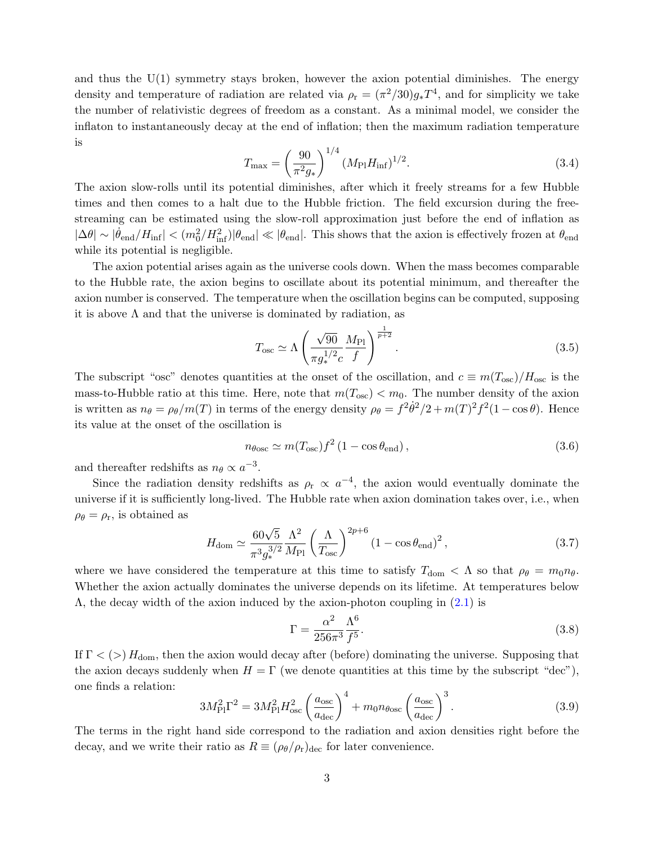and thus the  $U(1)$  symmetry stays broken, however the axion potential diminishes. The energy density and temperature of radiation are related via  $\rho_r = (\pi^2/30)g_*T^4$ , and for simplicity we take the number of relativistic degrees of freedom as a constant. As a minimal model, we consider the inflaton to instantaneously decay at the end of inflation; then the maximum radiation temperature is

<span id="page-3-1"></span>
$$
T_{\text{max}} = \left(\frac{90}{\pi^2 g_*}\right)^{1/4} (M_{\text{Pl}} H_{\text{inf}})^{1/2}.
$$
 (3.4)

The axion slow-rolls until its potential diminishes, after which it freely streams for a few Hubble times and then comes to a halt due to the Hubble friction. The field excursion during the freestreaming can be estimated using the slow-roll approximation just before the end of inflation as  $|\Delta \theta| \sim |\dot{\theta}_{end}/H_{inf}| < (m_0^2/H_{inf}^2)|\theta_{end}| \ll |\theta_{end}|$ . This shows that the axion is effectively frozen at  $\theta_{end}$ while its potential is negligible.

The axion potential arises again as the universe cools down. When the mass becomes comparable to the Hubble rate, the axion begins to oscillate about its potential minimum, and thereafter the axion number is conserved. The temperature when the oscillation begins can be computed, supposing it is above  $\Lambda$  and that the universe is dominated by radiation, as

$$
T_{\rm osc} \simeq \Lambda \left(\frac{\sqrt{90}}{\pi g_*^{1/2} c} \frac{M_{\rm Pl}}{f}\right)^{\frac{1}{p+2}}.
$$
 (3.5)

The subscript "osc" denotes quantities at the onset of the oscillation, and  $c \equiv m(T_{\text{osc}})/H_{\text{osc}}$  is the mass-to-Hubble ratio at this time. Here, note that  $m(T_{\text{osc}}) < m_0$ . The number density of the axion is written as  $n_{\theta} = \rho_{\theta}/m(T)$  in terms of the energy density  $\rho_{\theta} = f^2 \dot{\theta}^2/2 + m(T)^2 f^2 (1 - \cos \theta)$ . Hence its value at the onset of the oscillation is

$$
n_{\theta \text{osc}} \simeq m(T_{\text{osc}}) f^2 (1 - \cos \theta_{\text{end}}), \tag{3.6}
$$

and thereafter redshifts as  $n_{\theta} \propto a^{-3}$ .

Since the radiation density redshifts as  $\rho_r \propto a^{-4}$ , the axion would eventually dominate the universe if it is sufficiently long-lived. The Hubble rate when axion domination takes over, i.e., when  $\rho_{\theta} = \rho_{\rm r}$ , is obtained as

$$
H_{\rm dom} \simeq \frac{60\sqrt{5}}{\pi^3 g_*^{3/2}} \frac{\Lambda^2}{M_{\rm Pl}} \left(\frac{\Lambda}{T_{\rm osc}}\right)^{2p+6} \left(1 - \cos\theta_{\rm end}\right)^2, \tag{3.7}
$$

where we have considered the temperature at this time to satisfy  $T_{\text{dom}} < \Lambda$  so that  $\rho_{\theta} = m_0 n_{\theta}$ . Whether the axion actually dominates the universe depends on its lifetime. At temperatures below  $\Lambda$ , the decay width of the axion induced by the axion-photon coupling in  $(2.1)$  is

$$
\Gamma = \frac{\alpha^2}{256\pi^3} \frac{\Lambda^6}{f^5}.
$$
\n(3.8)

If  $\Gamma$  < (>)  $H_{\text{dom}}$ , then the axion would decay after (before) dominating the universe. Supposing that the axion decays suddenly when  $H = \Gamma$  (we denote quantities at this time by the subscript "dec"), one finds a relation:

<span id="page-3-0"></span>
$$
3M_{\rm Pl}^2 \Gamma^2 = 3M_{\rm Pl}^2 H_{\rm osc}^2 \left(\frac{a_{\rm osc}}{a_{\rm dec}}\right)^4 + m_0 n_{\rm \theta osc} \left(\frac{a_{\rm osc}}{a_{\rm dec}}\right)^3. \tag{3.9}
$$

The terms in the right hand side correspond to the radiation and axion densities right before the decay, and we write their ratio as  $R \equiv (\rho_{\theta}/\rho_{r})_{\text{dec}}$  for later convenience.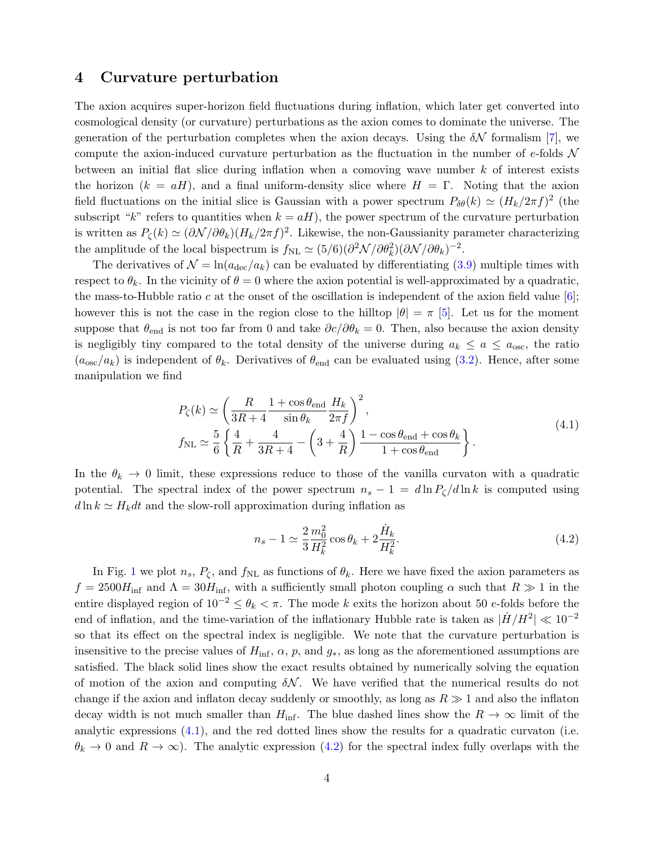#### 4 Curvature perturbation

The axion acquires super-horizon field fluctuations during inflation, which later get converted into cosmological density (or curvature) perturbations as the axion comes to dominate the universe. The generation of the perturbation completes when the axion decays. Using the  $\delta N$  formalism [\[7\]](#page-7-4), we compute the axion-induced curvature perturbation as the fluctuation in the number of e-folds  $\mathcal N$ between an initial flat slice during inflation when a comoving wave number  $k$  of interest exists the horizon  $(k = aH)$ , and a final uniform-density slice where  $H = \Gamma$ . Noting that the axion field fluctuations on the initial slice is Gaussian with a power spectrum  $P_{\delta\theta}(k) \simeq (H_k/2\pi f)^2$  (the subscript "k" refers to quantities when  $k = aH$ ), the power spectrum of the curvature perturbation is written as  $P_{\zeta}(k) \simeq (\partial \mathcal{N}/\partial \theta_k)(H_k/2\pi f)^2$ . Likewise, the non-Gaussianity parameter characterizing the amplitude of the local bispectrum is  $f_{\rm NL} \simeq (5/6)(\partial^2 \mathcal{N}/\partial \theta_k^2)(\partial \mathcal{N}/\partial \theta_k)^{-2}$ .

The derivatives of  $\mathcal{N} = \ln(a_{\text{dec}}/a_k)$  can be evaluated by differentiating [\(3.9\)](#page-3-0) multiple times with respect to  $\theta_k$ . In the vicinity of  $\theta = 0$  where the axion potential is well-approximated by a quadratic, the mass-to-Hubble ratio c at the onset of the oscillation is independent of the axion field value [\[6\]](#page-7-5); however this is not the case in the region close to the hilltop  $|\theta| = \pi$  [\[5\]](#page-7-3). Let us for the moment suppose that  $\theta_{end}$  is not too far from 0 and take  $\partial c/\partial \theta_k = 0$ . Then, also because the axion density is negligibly tiny compared to the total density of the universe during  $a_k \le a \le a_{\text{osc}}$ , the ratio  $(a_{\rm osc}/a_k)$  is independent of  $\theta_k$ . Derivatives of  $\theta_{\rm end}$  can be evaluated using  $(3.2)$ . Hence, after some manipulation we find

$$
P_{\zeta}(k) \simeq \left(\frac{R}{3R+4} \frac{1+\cos\theta_{\text{end}}}{\sin\theta_k} \frac{H_k}{2\pi f}\right)^2,
$$
  
\n
$$
f_{\rm NL} \simeq \frac{5}{6} \left\{\frac{4}{R} + \frac{4}{3R+4} - \left(3 + \frac{4}{R}\right) \frac{1-\cos\theta_{\text{end}} + \cos\theta_k}{1+\cos\theta_{\text{end}}}\right\}.
$$
\n(4.1)

<span id="page-4-0"></span>In the  $\theta_k \to 0$  limit, these expressions reduce to those of the vanilla curvaton with a quadratic potential. The spectral index of the power spectrum  $n_s - 1 = d \ln P_\zeta / d \ln k$  is computed using  $d \ln k \simeq H_k dt$  and the slow-roll approximation during inflation as

<span id="page-4-1"></span>
$$
n_s - 1 \simeq \frac{2}{3} \frac{m_0^2}{H_k^2} \cos \theta_k + 2 \frac{\dot{H}_k}{H_k^2}.
$$
\n(4.2)

In Fig. [1](#page-5-0) we plot  $n_s$ ,  $P_\zeta$ , and  $f_{\rm NL}$  as functions of  $\theta_k$ . Here we have fixed the axion parameters as  $f = 2500H_{\text{inf}}$  and  $\Lambda = 30H_{\text{inf}}$ , with a sufficiently small photon coupling  $\alpha$  such that  $R \gg 1$  in the entire displayed region of  $10^{-2} \le \theta_k < \pi$ . The mode k exits the horizon about 50 e-folds before the end of inflation, and the time-variation of the inflationary Hubble rate is taken as  $|\dot{H}/H^2| \ll 10^{-2}$ so that its effect on the spectral index is negligible. We note that the curvature perturbation is insensitive to the precise values of  $H_{\text{inf}}$ ,  $\alpha$ ,  $p$ , and  $g_*$ , as long as the aforementioned assumptions are satisfied. The black solid lines show the exact results obtained by numerically solving the equation of motion of the axion and computing  $\delta N$ . We have verified that the numerical results do not change if the axion and inflaton decay suddenly or smoothly, as long as  $R \gg 1$  and also the inflaton decay width is not much smaller than  $H_{\text{inf}}$ . The blue dashed lines show the  $R \to \infty$  limit of the analytic expressions [\(4.1\)](#page-4-0), and the red dotted lines show the results for a quadratic curvaton (i.e.  $\theta_k \to 0$  and  $R \to \infty$ ). The analytic expression [\(4.2\)](#page-4-1) for the spectral index fully overlaps with the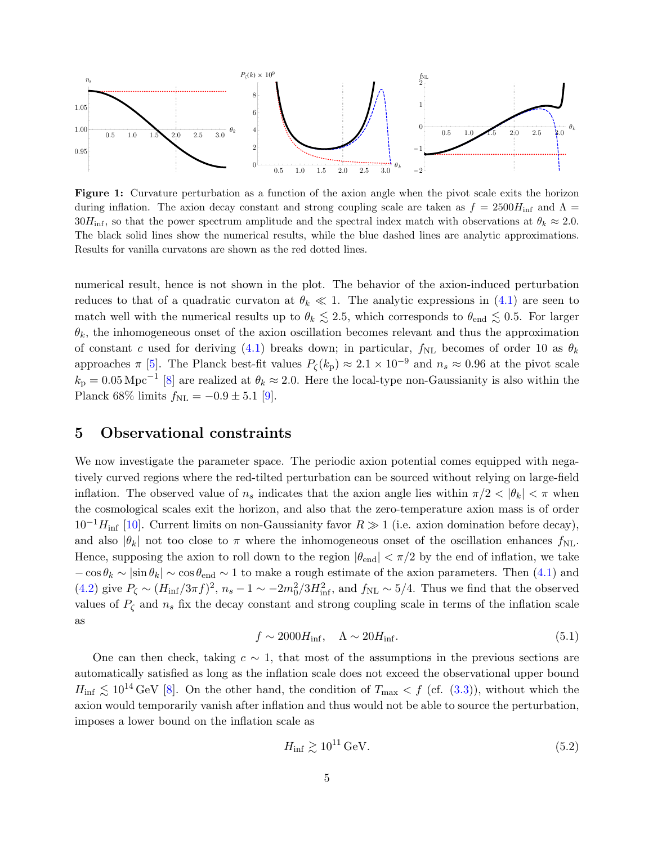<span id="page-5-0"></span>

Figure 1: Curvature perturbation as a function of the axion angle when the pivot scale exits the horizon during inflation. The axion decay constant and strong coupling scale are taken as  $f = 2500H_{\text{inf}}$  and  $\Lambda$  $30H_{\text{inf}}$ , so that the power spectrum amplitude and the spectral index match with observations at  $\theta_k \approx 2.0$ . The black solid lines show the numerical results, while the blue dashed lines are analytic approximations. Results for vanilla curvatons are shown as the red dotted lines.

numerical result, hence is not shown in the plot. The behavior of the axion-induced perturbation reduces to that of a quadratic curvation at  $\theta_k \ll 1$ . The analytic expressions in [\(4.1\)](#page-4-0) are seen to match well with the numerical results up to  $\theta_k \lesssim 2.5$ , which corresponds to  $\theta_{end} \lesssim 0.5$ . For larger  $\theta_k$ , the inhomogeneous onset of the axion oscillation becomes relevant and thus the approximation of constant c used for deriving [\(4.1\)](#page-4-0) breaks down; in particular,  $f_{NL}$  becomes of order 10 as  $\theta_k$ approaches  $\pi$  [\[5\]](#page-7-3). The Planck best-fit values  $P_{\zeta}(k_{\rm p}) \approx 2.1 \times 10^{-9}$  and  $n_s \approx 0.96$  at the pivot scale  $k_{\rm p} = 0.05 \,\rm Mpc^{-1}$  [\[8\]](#page-7-6) are realized at  $\theta_k \approx 2.0$ . Here the local-type non-Gaussianity is also within the Planck 68% limits  $f_{\rm NL} = -0.9 \pm 5.1$  [\[9\]](#page-7-7).

## 5 Observational constraints

We now investigate the parameter space. The periodic axion potential comes equipped with negatively curved regions where the red-tilted perturbation can be sourced without relying on large-field inflation. The observed value of  $n_s$  indicates that the axion angle lies within  $\pi/2 < |\theta_k| < \pi$  when the cosmological scales exit the horizon, and also that the zero-temperature axion mass is of order  $10^{-1}H_{\text{inf}}$  [\[10\]](#page-7-8). Current limits on non-Gaussianity favor  $R \gg 1$  (i.e. axion domination before decay), and also  $|\theta_k|$  not too close to  $\pi$  where the inhomogeneous onset of the oscillation enhances  $f_{\text{NL}}$ . Hence, supposing the axion to roll down to the region  $|\theta_{end}| < \pi/2$  by the end of inflation, we take  $-\cos\theta_k \sim |\sin\theta_k| \sim \cos\theta_{end} \sim 1$  to make a rough estimate of the axion parameters. Then [\(4.1\)](#page-4-0) and [\(4.2\)](#page-4-1) give  $P_{\zeta} \sim (H_{\rm inf}/3\pi f)^2$ ,  $n_s - 1 \sim -2m_0^2/3H_{\rm inf}^2$ , and  $f_{\rm NL} \sim 5/4$ . Thus we find that the observed values of  $P_{\zeta}$  and  $n_s$  fix the decay constant and strong coupling scale in terms of the inflation scale as

<span id="page-5-2"></span>
$$
f \sim 2000 H_{\rm inf}, \quad \Lambda \sim 20 H_{\rm inf}.\tag{5.1}
$$

One can then check, taking  $c \sim 1$ , that most of the assumptions in the previous sections are automatically satisfied as long as the inflation scale does not exceed the observational upper bound  $H_{\text{inf}} \lesssim 10^{14} \text{ GeV}$  [\[8\]](#page-7-6). On the other hand, the condition of  $T_{\text{max}} < f$  (cf. [\(3.3\)](#page-2-2)), without which the axion would temporarily vanish after inflation and thus would not be able to source the perturbation, imposes a lower bound on the inflation scale as

<span id="page-5-1"></span>
$$
H_{\rm inf} \gtrsim 10^{11} \,\text{GeV}.\tag{5.2}
$$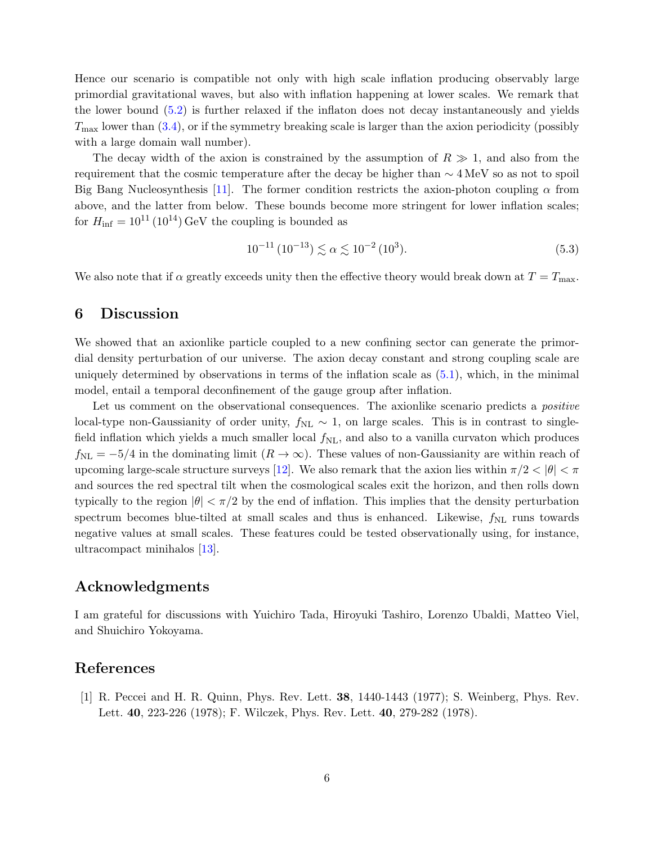Hence our scenario is compatible not only with high scale inflation producing observably large primordial gravitational waves, but also with inflation happening at lower scales. We remark that the lower bound [\(5.2\)](#page-5-1) is further relaxed if the inflaton does not decay instantaneously and yields  $T_{\text{max}}$  lower than  $(3.4)$ , or if the symmetry breaking scale is larger than the axion periodicity (possibly with a large domain wall number).

The decay width of the axion is constrained by the assumption of  $R \gg 1$ , and also from the requirement that the cosmic temperature after the decay be higher than  $\sim 4 \,\text{MeV}$  so as not to spoil Big Bang Nucleosynthesis [\[11\]](#page-7-9). The former condition restricts the axion-photon coupling  $\alpha$  from above, and the latter from below. These bounds become more stringent for lower inflation scales; for  $H_{\text{inf}} = 10^{11} (10^{14}) \text{ GeV}$  the coupling is bounded as

$$
10^{-11} (10^{-13}) \lesssim \alpha \lesssim 10^{-2} (10^3). \tag{5.3}
$$

We also note that if  $\alpha$  greatly exceeds unity then the effective theory would break down at  $T = T_{\text{max}}$ .

#### 6 Discussion

We showed that an axionlike particle coupled to a new confining sector can generate the primordial density perturbation of our universe. The axion decay constant and strong coupling scale are uniquely determined by observations in terms of the inflation scale as [\(5.1\)](#page-5-2), which, in the minimal model, entail a temporal deconfinement of the gauge group after inflation.

Let us comment on the observational consequences. The axionlike scenario predicts a *positive* local-type non-Gaussianity of order unity,  $f_{NL} \sim 1$ , on large scales. This is in contrast to singlefield inflation which yields a much smaller local  $f_{\rm NL}$ , and also to a vanilla curvaton which produces  $f_{\text{NL}} = -5/4$  in the dominating limit  $(R \to \infty)$ . These values of non-Gaussianity are within reach of upcoming large-scale structure surveys [\[12\]](#page-7-10). We also remark that the axion lies within  $\pi/2 < |\theta| < \pi$ and sources the red spectral tilt when the cosmological scales exit the horizon, and then rolls down typically to the region  $|\theta| < \pi/2$  by the end of inflation. This implies that the density perturbation spectrum becomes blue-tilted at small scales and thus is enhanced. Likewise,  $f_{NL}$  runs towards negative values at small scales. These features could be tested observationally using, for instance, ultracompact minihalos [\[13\]](#page-7-11).

# Acknowledgments

I am grateful for discussions with Yuichiro Tada, Hiroyuki Tashiro, Lorenzo Ubaldi, Matteo Viel, and Shuichiro Yokoyama.

## References

<span id="page-6-0"></span>[1] R. Peccei and H. R. Quinn, Phys. Rev. Lett. 38, 1440-1443 (1977); S. Weinberg, Phys. Rev. Lett. 40, 223-226 (1978); F. Wilczek, Phys. Rev. Lett. 40, 279-282 (1978).